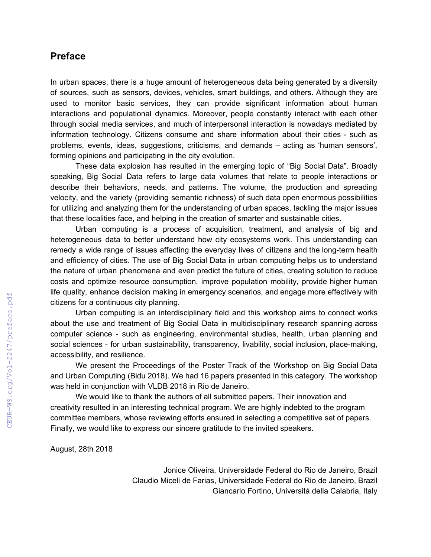## **Preface**

In urban spaces, there is a huge amount of heterogeneous data being generated by a diversity of sources, such as sensors, devices, vehicles, smart buildings, and others. Although they are used to monitor basic services, they can provide significant information about human interactions and populational dynamics. Moreover, people constantly interact with each other through social media services, and much of interpersonal interaction is nowadays mediated by information technology. Citizens consume and share information about their cities - such as problems, events, ideas, suggestions, criticisms, and demands – acting as 'human sensors', forming opinions and participating in the city evolution.

These data explosion has resulted in the emerging topic of "Big Social Data". Broadly speaking, Big Social Data refers to large data volumes that relate to people interactions or describe their behaviors, needs, and patterns. The volume, the production and spreading velocity, and the variety (providing semantic richness) of such data open enormous possibilities for utilizing and analyzing them for the understanding of urban spaces, tackling the major issues that these localities face, and helping in the creation of smarter and sustainable cities.

Urban computing is a process of acquisition, treatment, and analysis of big and heterogeneous data to better understand how city ecosystems work. This understanding can remedy a wide range of issues affecting the everyday lives of citizens and the long-term health and efficiency of cities. The use of Big Social Data in urban computing helps us to understand the nature of urban phenomena and even predict the future of cities, creating solution to reduce costs and optimize resource consumption, improve population mobility, provide higher human life quality, enhance decision making in emergency scenarios, and engage more effectively with citizens for a continuous city planning.

Urban computing is an interdisciplinary field and this workshop aims to connect works about the use and treatment of Big Social Data in multidisciplinary research spanning across computer science - such as engineering, environmental studies, health, urban planning and social sciences - for urban sustainability, transparency, livability, social inclusion, place-making, accessibility, and resilience.

We present the Proceedings of the Poster Track of the Workshop on Big Social Data and Urban Computing (Bidu 2018). We had 16 papers presented in this category. The workshop was held in conjunction with VLDB 2018 in Rio de Janeiro.

We would like to thank the authors of all submitted papers. Their innovation and creativity resulted in an interesting technical program. We are highly indebted to the program committee members, whose reviewing efforts ensured in selecting a competitive set of papers. Finally, we would like to express our sincere gratitude to the invited speakers.

August, 28th 2018

Jonice Oliveira, Universidade Federal do Rio de Janeiro, Brazil Claudio Miceli de Farias, Universidade Federal do Rio de Janeiro, Brazil Giancarlo Fortino, Universitá della Calabria, Italy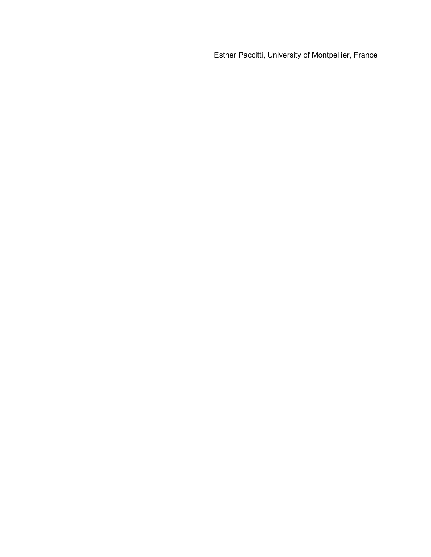Esther Paccitti, University of Montpellier, France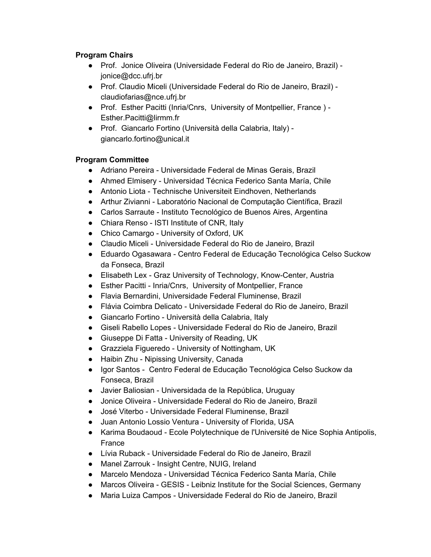## **Program Chairs**

- Prof. Jonice Oliveira (Universidade Federal do Rio de Janeiro, Brazil) jonice@dcc.ufrj.br
- Prof. Claudio Miceli (Universidade Federal do Rio de Janeiro, Brazil) claudiofarias@nce.ufrj.br
- Prof. Esther Pacitti (Inria/Cnrs, University of Montpellier, France ) Esther.Pacitti@lirmm.fr
- Prof. Giancarlo Fortino (Università della Calabria, Italy) giancarlo.fortino@unical.it

## **Program Committee**

- Adriano Pereira Universidade Federal de Minas Gerais, Brazil
- Ahmed Elmisery Universidad Técnica Federico Santa María, Chile
- Antonio Liota Technische Universiteit Eindhoven, Netherlands
- Arthur Zivianni Laboratório Nacional de Computação Científica, Brazil
- Carlos Sarraute Instituto Tecnológico de Buenos Aires, Argentina
- Chiara Renso ISTI Institute of CNR, Italy
- Chico Camargo University of Oxford, UK
- Claudio Miceli Universidade Federal do Rio de Janeiro, Brazil
- Eduardo Ogasawara Centro Federal de Educação Tecnológica Celso Suckow da Fonseca, Brazil
- Elisabeth Lex Graz University of Technology, Know-Center, Austria
- Esther Pacitti Inria/Cnrs, University of Montpellier, France
- Flavia Bernardini, Universidade Federal Fluminense, Brazil
- Flávia Coimbra Delicato Universidade Federal do Rio de Janeiro, Brazil
- Giancarlo Fortino Università della Calabria, Italy
- Giseli Rabello Lopes Universidade Federal do Rio de Janeiro, Brazil
- Giuseppe Di Fatta University of Reading, UK
- Grazziela Figueredo University of Nottingham, UK
- Haibin Zhu Nipissing University, Canada
- Igor Santos Centro Federal de Educação Tecnológica Celso Suckow da Fonseca, Brazil
- Javier Baliosian Universidada de la República, Uruguay
- Jonice Oliveira Universidade Federal do Rio de Janeiro, Brazil
- José Viterbo Universidade Federal Fluminense, Brazil
- Juan Antonio Lossio Ventura University of Florida, USA
- Karima Boudaoud Ecole Polytechnique de l'Université de Nice Sophia Antipolis, France
- Lívia Ruback Universidade Federal do Rio de Janeiro, Brazil
- Manel Zarrouk Insight Centre, NUIG, Ireland
- Marcelo Mendoza Universidad Técnica Federico Santa María, Chile
- Marcos Oliveira GESIS Leibniz Institute for the Social Sciences, Germany
- Maria Luiza Campos Universidade Federal do Rio de Janeiro, Brazil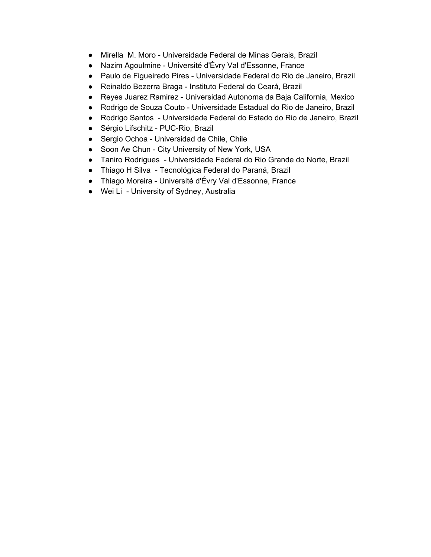- Mirella M. Moro Universidade Federal de Minas Gerais, Brazil
- Nazim Agoulmine Université d'Évry Val d'Essonne, France
- Paulo de Figueiredo Pires Universidade Federal do Rio de Janeiro, Brazil
- Reinaldo Bezerra Braga Instituto Federal do Ceará, Brazil
- Reyes Juarez Ramirez Universidad Autonoma da Baja California, Mexico
- Rodrigo de Souza Couto Universidade Estadual do Rio de Janeiro, Brazil
- Rodrigo Santos Universidade Federal do Estado do Rio de Janeiro, Brazil
- Sérgio Lifschitz PUC-Rio, Brazil
- Sergio Ochoa Universidad de Chile, Chile
- Soon Ae Chun City University of New York, USA
- Taniro Rodrigues Universidade Federal do Rio Grande do Norte, Brazil
- Thiago H Silva Tecnológica Federal do Paraná, Brazil
- Thiago Moreira Université d'Évry Val d'Essonne, France
- Wei Li University of Sydney, Australia